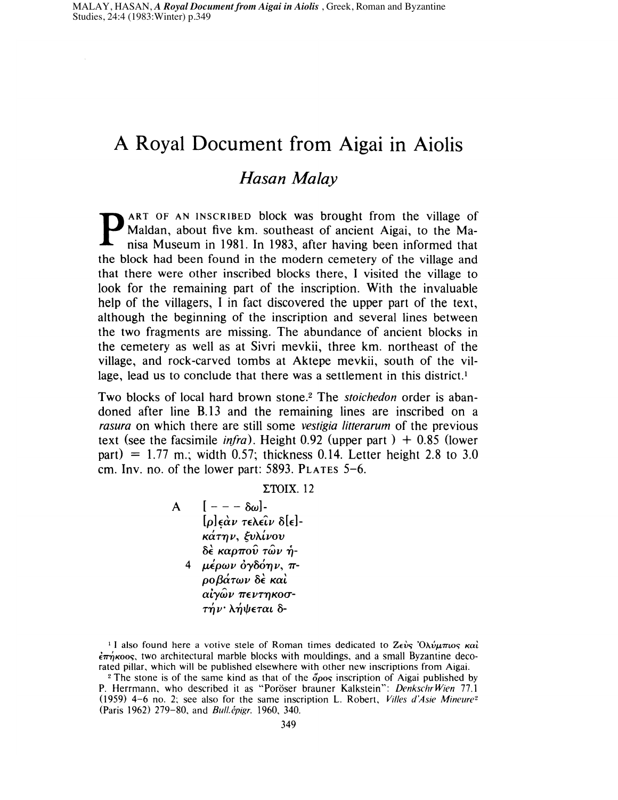# **A Royal Document from Aigai in Aiolis**

## *Hasan Malay*

**PART OF AN INSCRIBED block was brought from the village of** Maldan, about five km. southeast of ancient Aigai, to the Manisa Museum in 1981. **In** 1983, after having been informed that the block had been found in the modern cemetery of the village and that there were other inscribed blocks there, I visited the village to look for the remaining part of the inscription. With the invaluable help of the villagers, I in fact discovered the upper part of the text, although the beginning of the inscription and several lines between the two fragments are missing. The abundance of ancient blocks in the cemetery as well as at Sivri mevkii, three km. northeast of the village, and rock-carved tombs at Aktepe mevkii, south of the village, lead us to conclude that there was a settlement in this district.<sup>1</sup>

Two blocks of local hard brown stone.2 The *stoichedon* order is abandoned after line B.13 and the remaining lines are inscribed on a *rasura* on which there are still some *vestigia Iitterarum* of the previous text (see the facsimile *infra*). Height 0.92 (upper part)  $+$  0.85 (lower part) =  $1.77$  m.; width 0.57; thickness 0.14. Letter height 2.8 to 3.0 cm. Inv. no. of the lower part: 5893. PLATES 5-6.

 $\Sigma$ TOIX.12

A  $[- - - \delta \omega]$  $[\rho] \epsilon \dot{\alpha} \nu \tau \epsilon \lambda \epsilon \hat{\iota} \nu \delta[\epsilon]$ κάτην, ξυλίνου δέ καρπού τών ή- $4$  μέρων  $\partial \gamma \partial \phi \eta \nu$ , π-*PO/3(XTWV* BE Kat αἰγῶν πεντηκοσ-<br>τήν· λήψεται δ-

<sup>1</sup> I also found here a votive stele of Roman times dedicated to  $Z\epsilon\dot{\nu}s'$   $\partial \lambda \dot{\nu} \mu \pi \omega s \kappa \dot{\alpha} \dot{\nu}$  $\epsilon \overline{n}$   $\gamma$  koos, two architectural marble blocks with mouldings, and a small Byzantine decorated pillar, which will be published elsewhere with other new inscriptions from Aigai.

<sup>2</sup> The stone is of the same kind as that of the  $\sigma$ <sub>00</sub> inscription of Aigai published by P. Herrmann, who described it as "Poroser brauner Kalkstein": *DenkschrWien 77.1*  (1959)  $4-6$  no. 2; see also for the same inscription L. Robert, *Villes d'Asie Mineure*<sup>2</sup> (Paris 1962) 279-80, and *Bult.epigr.* 1960, 340.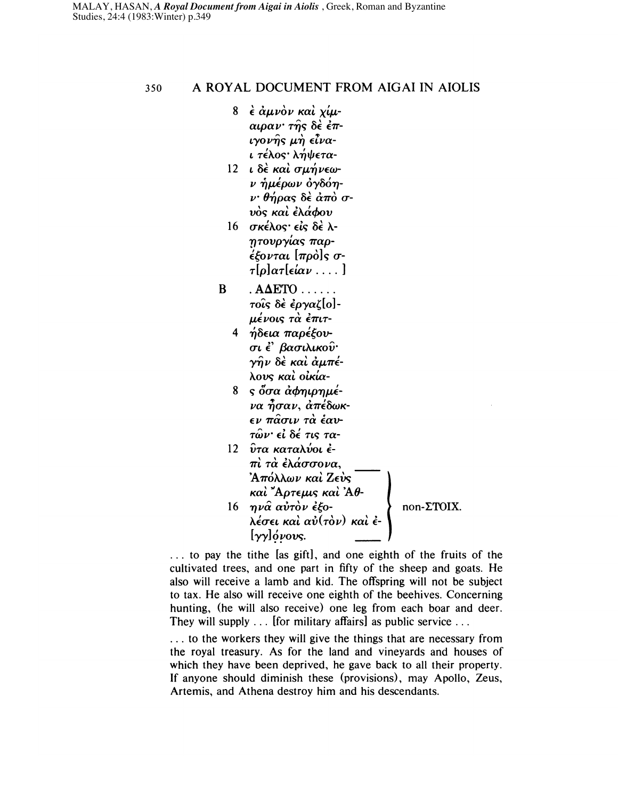350 A ROYAL DOCUMENT FROM AlGAl IN AIOLIS

- $8$   $\epsilon$   $\dot{\alpha}$ μνον και  $\chi$ ίμ- $\alpha \mu \alpha \nu$   $\tau \hat{n}$ s δέ έπ- $\iota$  yov $\hat{\eta}$ s  $\mu \dot{\eta}$   $\epsilon \hat{\iota}$ vaι τέλος· λήψετα-
- $12~$ ι δέ και σμήνεων ήμέρων όγδόη- $\nu$ ' θήρας δὲ ἀπὸ σ-<br>νὸς καὶ ἐλάφου
- $16$  σκέλος είς δέλητουργίας παρ- $\epsilon$  {*tovtat*  $[\pi \rho \dot{\rho}]$ *s*  $\sigma$ - $\tau[\rho]$ ατ[είαν ....]
- $B \qquad \text{AAETO} \ldots$ τοίς δέ έργαζ[o]μένοις τ $\grave{\alpha}$  ἐπιτ-
	- 4 ήδεια παρέξουσι ἐ' βασιλικοῦ·<br>γῆν δὲ καὶ ἀμπέλους και οικία-
	- $8 \simeq 8$   $\sigma \alpha$   $\dot{\alpha}$   $\sigma \eta \mu \rho \eta \mu \dot{\epsilon}$ να ἦσαν, ἀπέδωκ-<br>εν πασιν τὰ ἑαν- $\tau$ ών· εί δέ τις τα-
	- 12  $\hat{v}$ τα καταλύοι έ- $\, \pi \, \dot{\alpha} \, \, \dot{\epsilon} \, \dot{\alpha} \, \dot{\alpha} \, \dot{\sigma} \, \dot{\sigma} \, \dot{\sigma} \, \dot{\alpha} \,$ 'Απόλλων και Ζευς  $\kappa$ αί "Αρτεμις καί 'Αθ-

### 16 ηνα αὐτὸν ἐξοκαι Αρτεμις και Αυ-<br>ηνα αὐτὸν ἐξο-<br>λέσει καὶ αὐ(τὸν) καὶ ἐ- $[yy]$  (*y*  $y$  ovs.

non-LTOIX.

 $\ldots$  to pay the tithe [as gift], and one eighth of the fruits of the cultivated trees, and one part in fifty of the sheep and goats. He also will receive a lamb and kid. The offspring will not be subject to tax. He also will receive one eighth of the beehives. Concerning hunting, (he will also receive) one leg from each boar and deer. They will supply ... [for military affairs] as public service ...

. . . to the workers they will give the things that are necessary from the royal treasury. As for the land and vineyards and houses of which they have been deprived, he gave back to all their property. If anyone should diminish these (provisions), may Apollo, Zeus, Artemis, and Athena destroy him and his descendants.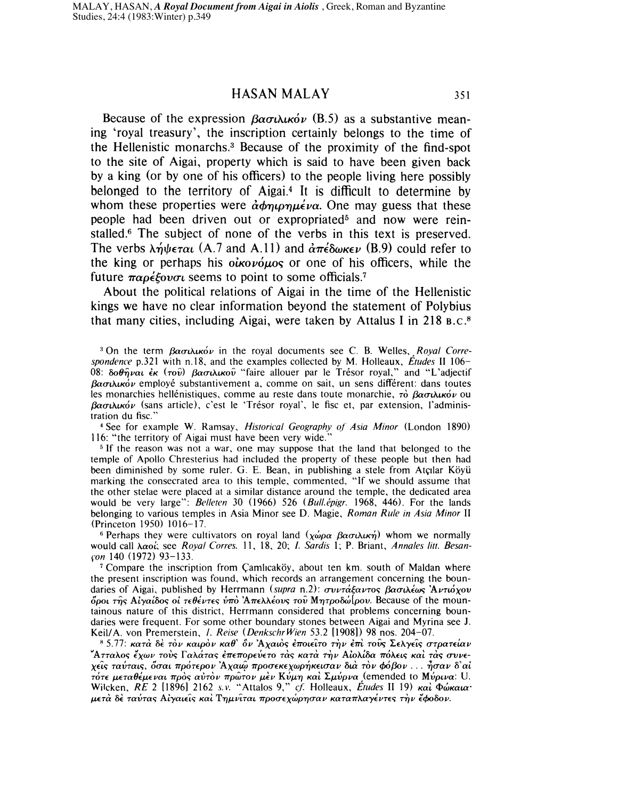Because of the expression  $\beta \alpha \sigma \iota \lambda \mu \kappa \delta \nu$  (B.5) as a substantive meaning 'royal treasury', the inscription certainly belongs to the time of the Hellenistic monarchs.3 Because of the proximity of the find-spot to the site of Aigai, property which is said to have been given back by a king (or by one of his officers) to the people living here possibly belonged to the territory of Aigai.4 It is difficult to determine by whom these properties were  $\dot{\alpha}$  $\phi$ *nu<sub>p</sub>* $\mu \dot{\epsilon}$ *va*. One may guess that these people had been driven out or expropriated<sup>5</sup> and now were reinstalled.6 The subject of none of the verbs in this text is preserved. The verbs  $\lambda \eta \psi \epsilon \tau \alpha \iota$  (A.7 and A.11) and  $\alpha \pi \epsilon \delta \omega \kappa \epsilon \nu$  (B.9) could refer to the king or perhaps his  $\partial \dot{\alpha}$   $\partial \dot{\beta}$  or one of his officers, while the future  $\pi \alpha \rho \epsilon \xi$ *ovo* cseems to point to some officials.<sup>7</sup>

About the political relations of Aigai in the time of the Hellenistic kings we have no clear information beyond the statement of Polybius that many cities, including Aigai, were taken by Attalus I in 218 B.C.8

<sup>3</sup> On the term βασιλικόν in the royal documents see C. B. Welles, *Royal Correspondence* p.321 with n.18, and the examples collected by M. Holleaux, *Etudes* II 106- 08: δοθήναι έκ (του) βασιλικού "faire allouer par le Trésor royal," and "L'adjectif  $\beta \alpha \sigma \iota \lambda \iota \kappa \iota' \nu$  employé substantivement a, comme on sait, un sens différent: dans toutes les monarchies hellénistiques, comme au reste dans toute monarchie,  $\tau \dot{\phi} \beta \alpha \sigma \mu \chi \kappa \dot{\phi} \nu$  ou  $\beta \alpha \sigma \iota \lambda \iota \kappa \iota' \nu$  (sans article), c'est le 'Trésor royal', le fisc et, par extension, l'administration du fisc."

4 See for example W. Ramsay, *Historical Geography of Asia Minor* (London 1890) 116: "the territory of Aigai must have been very wide."

<sup>5</sup> If the reason was not a war, one may suppose that the land that belonged to the temple of Apollo Chresterius had included the property of these people but then had been diminished by some ruler. G. E. Bean, in publishing a stele from Atçılar Köyü marking the consecrated area to this temple, commented, "If we should assume that the other stelae were placed at a similar distance around the temple, the dedicated area would be very large": *Belleten* 30 (1966) 526 *(Bull.épigr.* 1968, 446). For the lands belonging to various temples in Asia Minor see D. Magie, *Roman Rule in Asia Minor* II (Princeton 1950) 1016-17.

<sup>6</sup> Perhaps they were cultivators on royal land  $(\chi \omega \rho \alpha \beta \alpha \sigma \mu \omega \kappa \eta)$  whom we normally would call λαοί; see *Royal Corres.* 11, 18, 20; *I. Sardis* 1; P. Briant, *Annales litt. Besancon* 140 (I972) 93-133.

<sup>7</sup> Compare the inscription from Camlicakoy, about ten km. south of Maldan where the present inscription was found, which records an arrangement concerning the boundaries of Aigai, published by Herrmann *(supra n.2): συντάξαντος βασιλέως 'Αντιόχου*  $\delta\rho$ οι της Αίγαίδος οι τεθέντες ύπὸ Άπελλέους του Μητροδώ[ρου. Because of the mountainous nature of this district, Herrmann considered that problems concerning boundaries were frequent. For some other boundary stones between Aigai and Myrina see J. Keil/A. von Premerstein, 1. *Reise (DenkschrWien* 53.2 [1908]) 98 nos. 204-07.

 $85.77$ : κατά δέ τον καιρον καθ' δν 'Αχαιος έποιείτο την έπι τους Σελγείς στρατείαν "Ατταλος ἔχων τοὺς Γαλάτας ἐπεπορεύετο τὰς κατὰ τὴν Αἰολίδα πόλεις καὶ τὰς συνε- $\chi$ είς ταύταις, δσαι πρότερον 'Αχαιώ προσεκεχωρήκεισαν διά τὸν φόβον... ήσαν δ'αί TOTE μεταθέμεναι προς αύτον πρώτον μεν Κύμη και Σμύρνα (emended to Μύρινα: U. Wilcken, RE 2 [1896] 2162 s.v. "Attalos 9," cf. Holleaux, *Etudes II 19) και Φώκαια'* μετά δε ταύτας Αίγαιεῖς καὶ Τημνῖται προσεχώρησαν καταπλαγέντες τὴν ἔφοδον.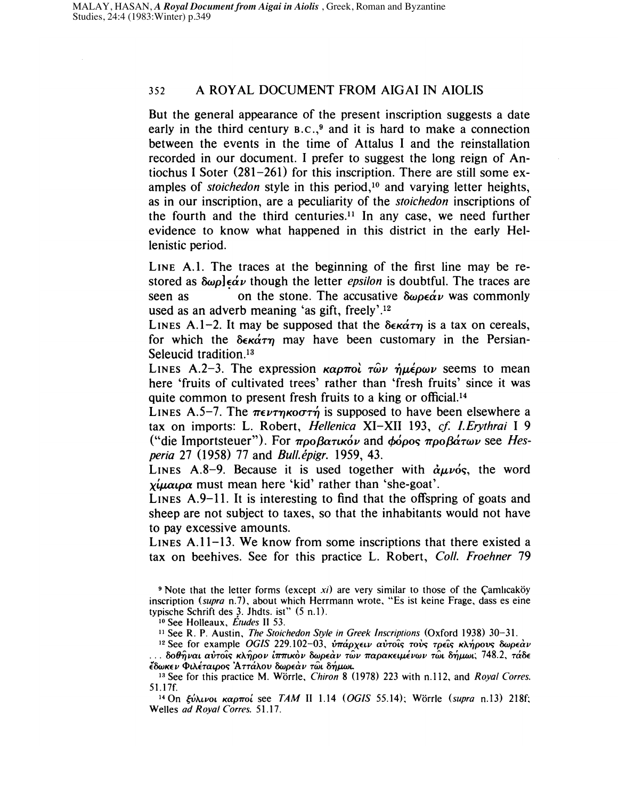#### 352 A ROYAL DOCUMENT FROM AlGAl IN AIOLIS

But the general appearance of the present inscription suggests a date early in the third century  $B.C.,<sup>9</sup>$  and it is hard to make a connection between the events in the time of Attalus I and the reinstallation recorded in our document. I prefer to suggest the long reign of Antiochus I Soter (281-261) for this inscription. There are still some examples of *stoichedon* style in this period.<sup>10</sup> and varying letter heights, as in our inscription, are a peculiarity of the *stoichedon* inscriptions of the fourth and the third centuries.<sup>11</sup> In any case, we need further evidence to know what happened in this district in the early Hellenistic period.

LINE A.I. The traces at the beginning of the first line may be restored as  $\delta \omega \rho \cdot \epsilon \dot{\alpha} \nu$  though the letter *epsilon* is doubtful. The traces are seen as . on the stone. The accusative  $\delta \omega \rho \epsilon \alpha' \nu$  was commonly used as an adverb meaning 'as gift, freely'.<sup>12</sup>

LINES A.1-2. It may be supposed that the  $\delta \epsilon \kappa \dot{\alpha} \tau \eta$  is a tax on cereals, for which the  $\delta \epsilon \kappa \dot{\alpha} \tau \eta$  may have been customary in the Persian-Seleucid tradition.<sup>13</sup>

LINES A.2-3. The expression  $\kappa \alpha \rho \pi \alpha \hat{i}$   $\tau \hat{\omega} \nu$   $\hat{\eta} \mu \hat{\epsilon} \rho \omega \nu$  seems to mean here 'fruits of cultivated trees' rather than 'fresh fruits' since it was quite common to present fresh fruits to a king or official.<sup>14</sup>

LINES A.5-7. The  $\pi \epsilon \nu \tau n \kappa o \sigma \tau n$  is supposed to have been elsewhere a tax on imports: L. Robert, *Hellenica* XI-XII 193, *cf I.Erythrai* I 9 ("die Importsteuer"). For  $\pi \rho \partial \beta \alpha \tau \kappa \phi \nu$  and  $\phi \phi \rho \partial \beta \alpha \sigma \sigma \rho \partial \alpha \gamma \partial \nu$  see *Hesperia* 27 (I958) 77 and *Bull.epigr.* 1959, 43.

LINES A.8-9. Because it is used together with  $\partial u$ vós, the word  $x_i$  $\mu$  $\alpha_i$  $\alpha$  must mean here 'kid' rather than 'she-goat'.

LINES A.9-1I. It is interesting to find that the offspring of goats and sheep are not subject to taxes, so that the inhabitants would not have to pay excessive amounts.

LINES  $A.11-13$ . We know from some inscriptions that there existed a tax on beehives. See for this practice L. Robert, *Coli. Froehner 79* 

 $9$  Note that the letter forms (except  $xi$ ) are very similar to those of the Camlicaköy inscription *(supra n.7)*, about which Herrmann wrote, "Es ist keine Frage, dass es eine typische Schrift des 3. Jhdts. ist" (5 n.l).

10 See Holleaux, *Etudes* II 53.

<sup>11</sup>See R. P. Austin, *The Stoichedon Style in Greek Inscriptions* (Oxford 1938) 30-31.

<sup>12</sup> See for example *OGIS* 229.102-03, *υπάρχειν αυτοΐς τους τρεΐς κλήρους δωρεάν* ... δοθήναι αὐτοῖς κλήρον ἱ<del>ππ</del>ικὸν δωρεὰν τῶν παρακειμένων τῶι δήμωι; 748.2, τάδε {OOJKE *V* 4>LAETaLpO" 'A *TTaAov* OOJPEU *V TWL 8T,J-LW1.* 

13 See for this practice M. Warrle, *Chiron* 8 (I978) 223 with n.112, and *Royal Corres.*  51.17f.

<sup>14</sup> On *ξύλινοι καρποί see TAM II 1.14 (OGIS 55.14)*; Wörrle *(supra n.13)* 218f; Welles *ad Royal Corres. 51.17.*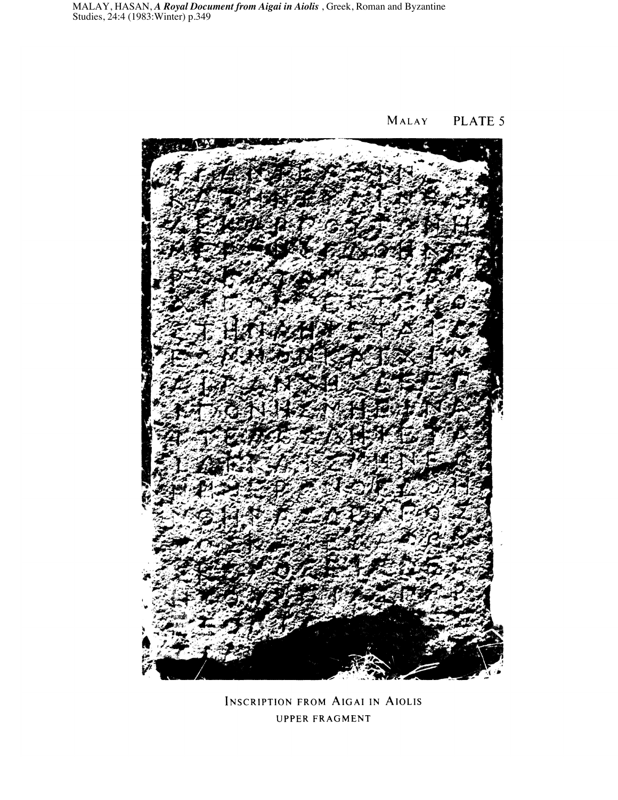MALAY **PLATE 5** 



INSCRIPTION FROM AlGAl IN AIOLIS UPPER FRAGMENT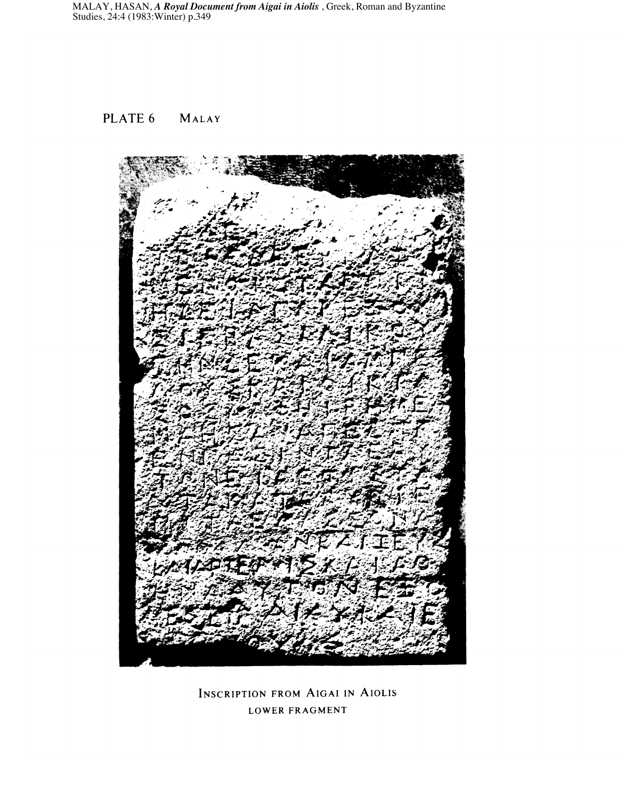### PLATE 6 MALAY



INSCRIPTION FROM AlGAl IN AIOLIS LOWER FRAGMENT